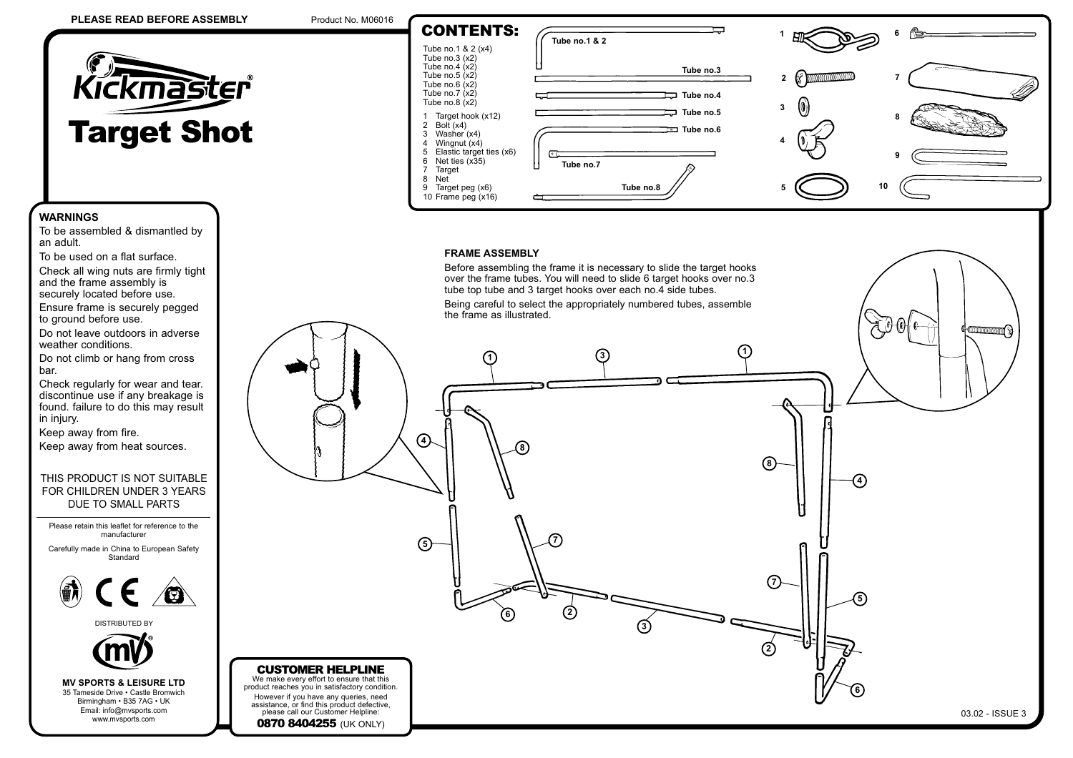#### **PLEASE READ BEFORE ASSEMBLY** Product No. M06016

CUSTOMER HELPLINE We make every effort to ensure that this product reaches you in satisfactory condition. However if you have any queries, need assistance, or find this product defective, please call our Customer Helpline: **0870 8404255 (UK ONLY)** 



## **WARNINGS**

To be assembled & dismantled by an adult.

To be used on a flat surface.

Check all wing nuts are firmly tight and the frame assembly is securely located before use. Ensure frame is securely pegged

to ground before use. Do not leave outdoors in adverse

weather conditions.

Do not climb or hang from cross bar.

Check regularly for wear and tear. discontinue use if any breakage is found. failure to do this may result in injury.

Keep away from fire.

Keep away from heat sources.

# THIS PRODUCT IS NOT SUITABLE FOR CHILDREN UNDER 3 YEARS DUE TO SMALL PARTS

Please retain this leaflet for reference to the manufacturer

Carefully made in China to European Safety Standard



DISTRIBUTED **B** 



**MV SPORTS & LEISURE LTD** 35 Tameside Drive • Castle Bromwich Birmingham • B35 7AG • UK Email: info@mvsports.com www.mvsports.com



#### **FRAME ASSEMBLY**

**8**

**6 2**

**7**

**4**

**5**

Before assembling the frame it is necessary to slide the target hooks over the frame tubes. You will need to slide 6 target hooks over no.3 tube top tube and 3 target hooks over each no.4 side tubes.

Being careful to select the appropriately numbered tubes, assemble the frame as illustrated.

**<sup>1</sup> <sup>3</sup> <sup>1</sup>**

**3**

**2**

**7**

**8**

**6**

**5**

**4**

**anananana S**